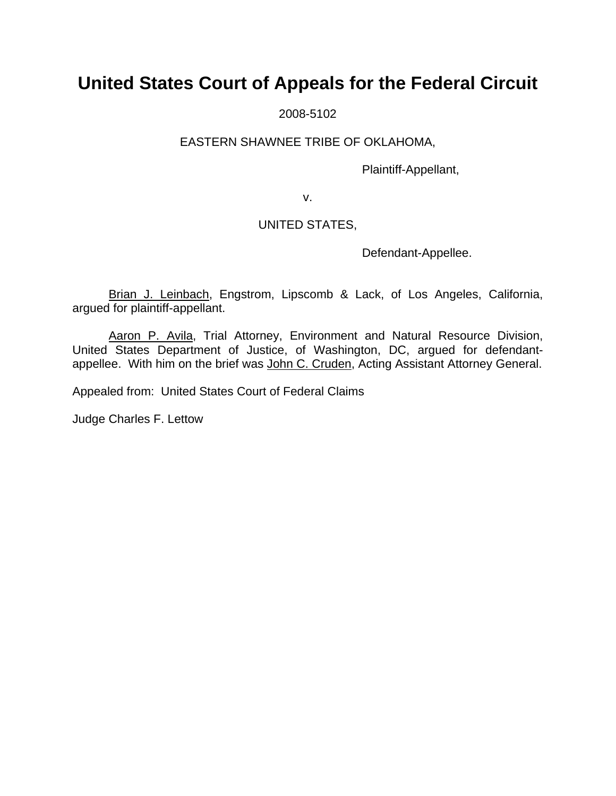# **United States Court of Appeals for the Federal Circuit**

2008-5102

## EASTERN SHAWNEE TRIBE OF OKLAHOMA,

Plaintiff-Appellant,

v.

## UNITED STATES,

Defendant-Appellee.

Brian J. Leinbach, Engstrom, Lipscomb & Lack, of Los Angeles, California, argued for plaintiff-appellant.

Aaron P. Avila, Trial Attorney, Environment and Natural Resource Division, United States Department of Justice, of Washington, DC, argued for defendantappellee. With him on the brief was John C. Cruden, Acting Assistant Attorney General.

Appealed from: United States Court of Federal Claims

Judge Charles F. Lettow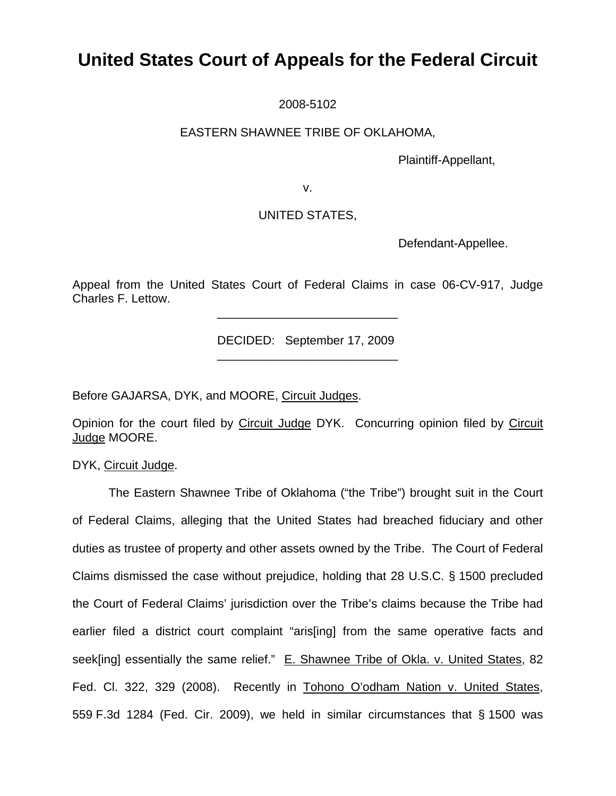# **United States Court of Appeals for the Federal Circuit**

2008-5102

## EASTERN SHAWNEE TRIBE OF OKLAHOMA,

Plaintiff-Appellant,

v.

## UNITED STATES,

Defendant-Appellee.

Appeal from the United States Court of Federal Claims in case 06-CV-917, Judge Charles F. Lettow.

DECIDED: September 17, 2009

Before GAJARSA, DYK, and MOORE, Circuit Judges.

 $\frac{1}{\sqrt{2}}$  ,  $\frac{1}{\sqrt{2}}$  ,  $\frac{1}{\sqrt{2}}$  ,  $\frac{1}{\sqrt{2}}$  ,  $\frac{1}{\sqrt{2}}$  ,  $\frac{1}{\sqrt{2}}$  ,  $\frac{1}{\sqrt{2}}$  ,  $\frac{1}{\sqrt{2}}$  ,  $\frac{1}{\sqrt{2}}$  ,  $\frac{1}{\sqrt{2}}$  ,  $\frac{1}{\sqrt{2}}$  ,  $\frac{1}{\sqrt{2}}$  ,  $\frac{1}{\sqrt{2}}$  ,  $\frac{1}{\sqrt{2}}$  ,  $\frac{1}{\sqrt{2}}$ 

 $\frac{1}{2}$  ,  $\frac{1}{2}$  ,  $\frac{1}{2}$  ,  $\frac{1}{2}$  ,  $\frac{1}{2}$  ,  $\frac{1}{2}$  ,  $\frac{1}{2}$  ,  $\frac{1}{2}$  ,  $\frac{1}{2}$  ,  $\frac{1}{2}$  ,  $\frac{1}{2}$  ,  $\frac{1}{2}$  ,  $\frac{1}{2}$  ,  $\frac{1}{2}$  ,  $\frac{1}{2}$  ,  $\frac{1}{2}$  ,  $\frac{1}{2}$  ,  $\frac{1}{2}$  ,  $\frac{1$ 

Opinion for the court filed by Circuit Judge DYK. Concurring opinion filed by Circuit Judge MOORE.

DYK, Circuit Judge.

The Eastern Shawnee Tribe of Oklahoma ("the Tribe") brought suit in the Court of Federal Claims, alleging that the United States had breached fiduciary and other duties as trustee of property and other assets owned by the Tribe. The Court of Federal Claims dismissed the case without prejudice, holding that 28 U.S.C. § 1500 precluded the Court of Federal Claims' jurisdiction over the Tribe's claims because the Tribe had earlier filed a district court complaint "aris[ing] from the same operative facts and seek[ing] essentially the same relief." E. Shawnee Tribe of Okla. v. United States, 82 Fed. Cl. 322, 329 (2008). Recently in Tohono O'odham Nation v. United States, 559 F.3d 1284 (Fed. Cir. 2009), we held in similar circumstances that § 1500 was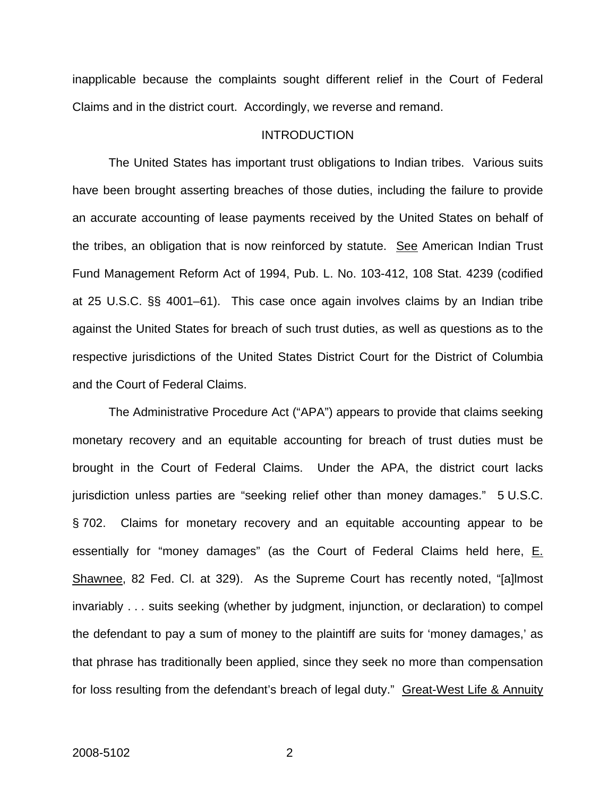inapplicable because the complaints sought different relief in the Court of Federal Claims and in the district court. Accordingly, we reverse and remand.

### INTRODUCTION

The United States has important trust obligations to Indian tribes. Various suits have been brought asserting breaches of those duties, including the failure to provide an accurate accounting of lease payments received by the United States on behalf of the tribes, an obligation that is now reinforced by statute. See American Indian Trust Fund Management Reform Act of 1994, Pub. L. No. 103-412, 108 Stat. 4239 (codified at 25 U.S.C. §§ 4001–61). This case once again involves claims by an Indian tribe against the United States for breach of such trust duties, as well as questions as to the respective jurisdictions of the United States District Court for the District of Columbia and the Court of Federal Claims.

The Administrative Procedure Act ("APA") appears to provide that claims seeking monetary recovery and an equitable accounting for breach of trust duties must be brought in the Court of Federal Claims. Under the APA, the district court lacks jurisdiction unless parties are "seeking relief other than money damages." 5 U.S.C. § 702. Claims for monetary recovery and an equitable accounting appear to be essentially for "money damages" (as the Court of Federal Claims held here, E. Shawnee, 82 Fed. Cl. at 329). As the Supreme Court has recently noted, "[a]lmost invariably . . . suits seeking (whether by judgment, injunction, or declaration) to compel the defendant to pay a sum of money to the plaintiff are suits for 'money damages,' as that phrase has traditionally been applied, since they seek no more than compensation for loss resulting from the defendant's breach of legal duty." Great-West Life & Annuity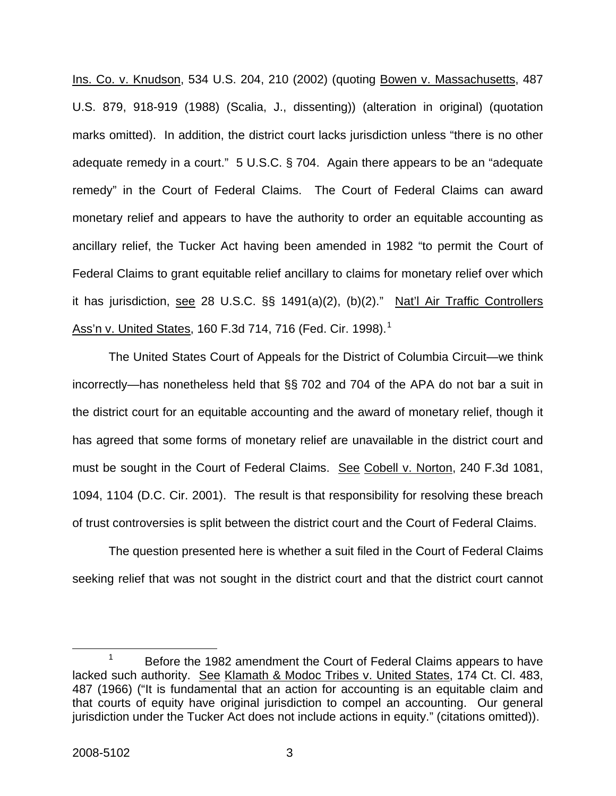Ins. Co. v. Knudson, 534 U.S. 204, 210 (2002) (quoting Bowen v. Massachusetts, 487 U.S. 879, 918-919 (1988) (Scalia, J., dissenting)) (alteration in original) (quotation marks omitted). In addition, the district court lacks jurisdiction unless "there is no other adequate remedy in a court." 5 U.S.C. § 704. Again there appears to be an "adequate remedy" in the Court of Federal Claims. The Court of Federal Claims can award monetary relief and appears to have the authority to order an equitable accounting as ancillary relief, the Tucker Act having been amended in 1982 "to permit the Court of Federal Claims to grant equitable relief ancillary to claims for monetary relief over which it has jurisdiction, see 28 U.S.C. §§ 1491(a)(2), (b)(2)." Nat'l Air Traffic Controllers Ass'n v. United States, [1](#page-3-0)60 F.3d 714, 716 (Fed. Cir. 1998).<sup>1</sup>

The United States Court of Appeals for the District of Columbia Circuit—we think incorrectly—has nonetheless held that §§ 702 and 704 of the APA do not bar a suit in the district court for an equitable accounting and the award of monetary relief, though it has agreed that some forms of monetary relief are unavailable in the district court and must be sought in the Court of Federal Claims. See Cobell v. Norton, 240 F.3d 1081, 1094, 1104 (D.C. Cir. 2001). The result is that responsibility for resolving these breach of trust controversies is split between the district court and the Court of Federal Claims.

The question presented here is whether a suit filed in the Court of Federal Claims seeking relief that was not sought in the district court and that the district court cannot

<span id="page-3-0"></span> $\frac{1}{1}$  Before the 1982 amendment the Court of Federal Claims appears to have lacked such authority. See Klamath & Modoc Tribes v. United States, 174 Ct. Cl. 483, 487 (1966) ("It is fundamental that an action for accounting is an equitable claim and that courts of equity have original jurisdiction to compel an accounting. Our general jurisdiction under the Tucker Act does not include actions in equity." (citations omitted)).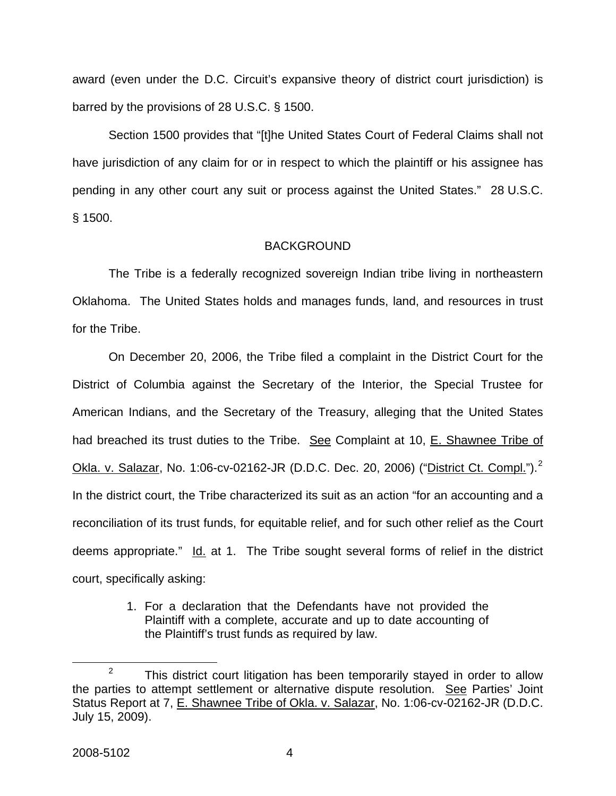award (even under the D.C. Circuit's expansive theory of district court jurisdiction) is barred by the provisions of 28 U.S.C. § 1500.

Section 1500 provides that "[t]he United States Court of Federal Claims shall not have jurisdiction of any claim for or in respect to which the plaintiff or his assignee has pending in any other court any suit or process against the United States." 28 U.S.C. § 1500.

#### BACKGROUND

The Tribe is a federally recognized sovereign Indian tribe living in northeastern Oklahoma. The United States holds and manages funds, land, and resources in trust for the Tribe.

On December 20, 2006, the Tribe filed a complaint in the District Court for the District of Columbia against the Secretary of the Interior, the Special Trustee for American Indians, and the Secretary of the Treasury, alleging that the United States had breached its trust duties to the Tribe. See Complaint at 10, E. Shawnee Tribe of Okla. v. Salazar, No. 1:06-cv-0[2](#page-4-0)162-JR (D.D.C. Dec. 20, 2006) ("District Ct. Compl.").<sup>2</sup> In the district court, the Tribe characterized its suit as an action "for an accounting and a reconciliation of its trust funds, for equitable relief, and for such other relief as the Court deems appropriate." Id. at 1. The Tribe sought several forms of relief in the district court, specifically asking:

> 1. For a declaration that the Defendants have not provided the Plaintiff with a complete, accurate and up to date accounting of the Plaintiff's trust funds as required by law.

<span id="page-4-0"></span> $\frac{1}{2}$  $2^2$  This district court litigation has been temporarily stayed in order to allow the parties to attempt settlement or alternative dispute resolution. See Parties' Joint Status Report at 7, E. Shawnee Tribe of Okla. v. Salazar, No. 1:06-cv-02162-JR (D.D.C. July 15, 2009).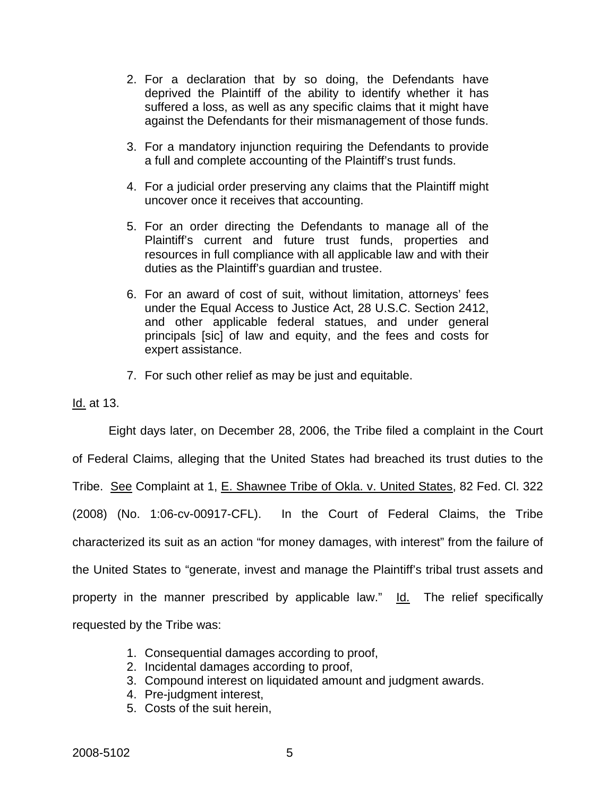- 2. For a declaration that by so doing, the Defendants have deprived the Plaintiff of the ability to identify whether it has suffered a loss, as well as any specific claims that it might have against the Defendants for their mismanagement of those funds.
- 3. For a mandatory injunction requiring the Defendants to provide a full and complete accounting of the Plaintiff's trust funds.
- 4. For a judicial order preserving any claims that the Plaintiff might uncover once it receives that accounting.
- 5. For an order directing the Defendants to manage all of the Plaintiff's current and future trust funds, properties and resources in full compliance with all applicable law and with their duties as the Plaintiff's guardian and trustee.
- 6. For an award of cost of suit, without limitation, attorneys' fees under the Equal Access to Justice Act, 28 U.S.C. Section 2412, and other applicable federal statues, and under general principals [sic] of law and equity, and the fees and costs for expert assistance.
- 7. For such other relief as may be just and equitable.

Id. at 13.

Eight days later, on December 28, 2006, the Tribe filed a complaint in the Court

of Federal Claims, alleging that the United States had breached its trust duties to the

Tribe. See Complaint at 1, E. Shawnee Tribe of Okla. v. United States, 82 Fed. Cl. 322

(2008) (No. 1:06-cv-00917-CFL). In the Court of Federal Claims, the Tribe

characterized its suit as an action "for money damages, with interest" from the failure of

the United States to "generate, invest and manage the Plaintiff's tribal trust assets and

property in the manner prescribed by applicable law." Id. The relief specifically

requested by the Tribe was:

- 1. Consequential damages according to proof,
- 2. Incidental damages according to proof,
- 3. Compound interest on liquidated amount and judgment awards.
- 4. Pre-judgment interest,
- 5. Costs of the suit herein,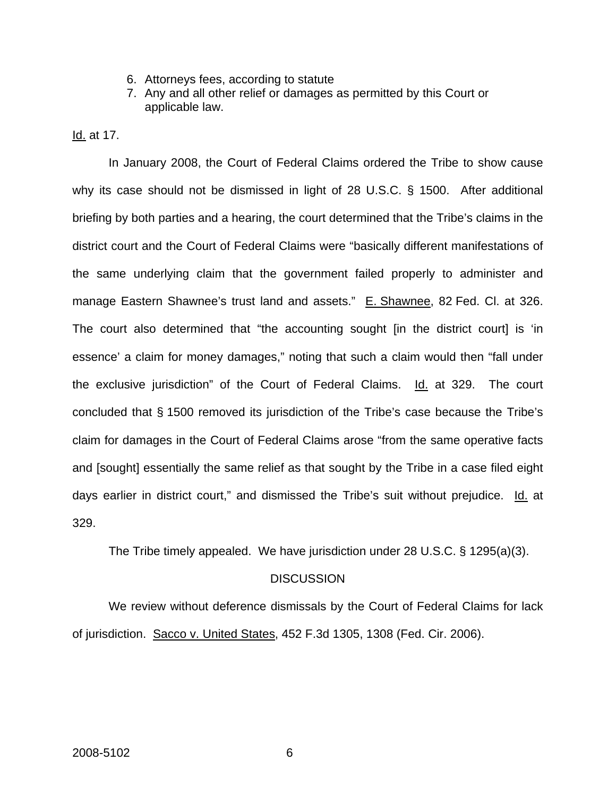- 6. Attorneys fees, according to statute
- 7. Any and all other relief or damages as permitted by this Court or applicable law.

Id. at 17.

In January 2008, the Court of Federal Claims ordered the Tribe to show cause why its case should not be dismissed in light of 28 U.S.C. § 1500. After additional briefing by both parties and a hearing, the court determined that the Tribe's claims in the district court and the Court of Federal Claims were "basically different manifestations of the same underlying claim that the government failed properly to administer and manage Eastern Shawnee's trust land and assets." E. Shawnee, 82 Fed. Cl. at 326. The court also determined that "the accounting sought [in the district court] is 'in essence' a claim for money damages," noting that such a claim would then "fall under the exclusive jurisdiction" of the Court of Federal Claims. Id. at 329. The court concluded that § 1500 removed its jurisdiction of the Tribe's case because the Tribe's claim for damages in the Court of Federal Claims arose "from the same operative facts and [sought] essentially the same relief as that sought by the Tribe in a case filed eight days earlier in district court," and dismissed the Tribe's suit without prejudice. Id. at 329.

The Tribe timely appealed. We have jurisdiction under 28 U.S.C. § 1295(a)(3).

## **DISCUSSION**

We review without deference dismissals by the Court of Federal Claims for lack of jurisdiction. Sacco v. United States, 452 F.3d 1305, 1308 (Fed. Cir. 2006).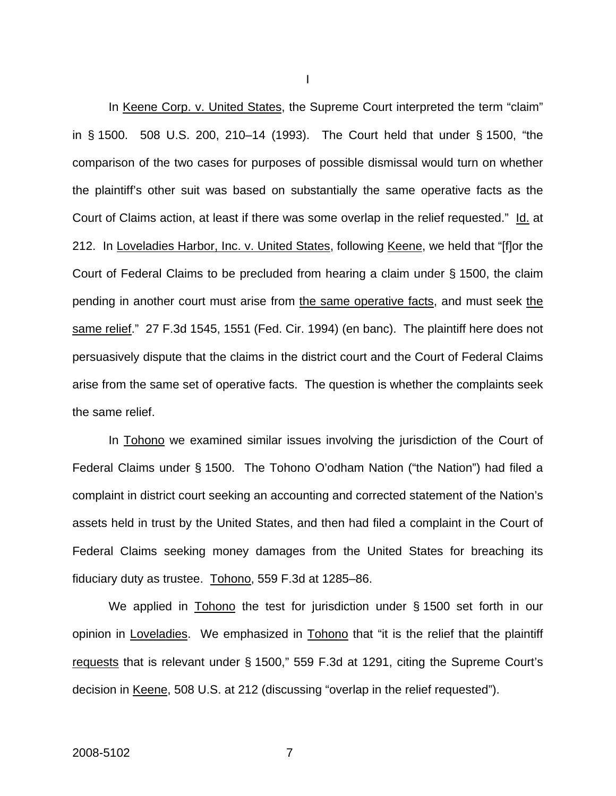In Keene Corp. v. United States, the Supreme Court interpreted the term "claim" in § 1500. 508 U.S. 200, 210–14 (1993). The Court held that under § 1500, "the comparison of the two cases for purposes of possible dismissal would turn on whether the plaintiff's other suit was based on substantially the same operative facts as the Court of Claims action, at least if there was some overlap in the relief requested." Id. at 212. In Loveladies Harbor, Inc. v. United States, following Keene, we held that "[f]or the Court of Federal Claims to be precluded from hearing a claim under § 1500, the claim pending in another court must arise from the same operative facts, and must seek the same relief." 27 F.3d 1545, 1551 (Fed. Cir. 1994) (en banc). The plaintiff here does not persuasively dispute that the claims in the district court and the Court of Federal Claims arise from the same set of operative facts. The question is whether the complaints seek the same relief.

In Tohono we examined similar issues involving the jurisdiction of the Court of Federal Claims under § 1500. The Tohono O'odham Nation ("the Nation") had filed a complaint in district court seeking an accounting and corrected statement of the Nation's assets held in trust by the United States, and then had filed a complaint in the Court of Federal Claims seeking money damages from the United States for breaching its fiduciary duty as trustee. Tohono, 559 F.3d at 1285–86.

We applied in Tohono the test for jurisdiction under § 1500 set forth in our opinion in Loveladies. We emphasized in Tohono that "it is the relief that the plaintiff requests that is relevant under § 1500," 559 F.3d at 1291, citing the Supreme Court's decision in Keene, 508 U.S. at 212 (discussing "overlap in the relief requested").

I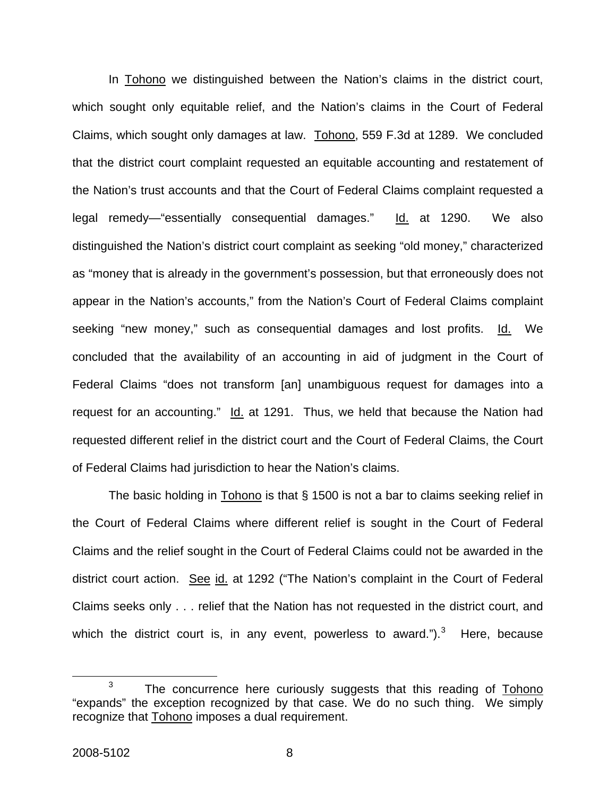In Tohono we distinguished between the Nation's claims in the district court, which sought only equitable relief, and the Nation's claims in the Court of Federal Claims, which sought only damages at law. Tohono, 559 F.3d at 1289. We concluded that the district court complaint requested an equitable accounting and restatement of the Nation's trust accounts and that the Court of Federal Claims complaint requested a legal remedy—"essentially consequential damages." Id. at 1290. We also distinguished the Nation's district court complaint as seeking "old money," characterized as "money that is already in the government's possession, but that erroneously does not appear in the Nation's accounts," from the Nation's Court of Federal Claims complaint seeking "new money," such as consequential damages and lost profits. Id. We concluded that the availability of an accounting in aid of judgment in the Court of Federal Claims "does not transform [an] unambiguous request for damages into a request for an accounting." Id. at 1291. Thus, we held that because the Nation had requested different relief in the district court and the Court of Federal Claims, the Court of Federal Claims had jurisdiction to hear the Nation's claims.

The basic holding in  $\underline{Tohono}$  is that  $\S$  1500 is not a bar to claims seeking relief in the Court of Federal Claims where different relief is sought in the Court of Federal Claims and the relief sought in the Court of Federal Claims could not be awarded in the district court action. See id. at 1292 ("The Nation's complaint in the Court of Federal Claims seeks only . . . relief that the Nation has not requested in the district court, and which the district court is, in any event, powerless to award.").<sup>[3](#page-8-0)</sup> Here, because

<span id="page-8-0"></span> $\overline{\phantom{a}}$  3 <sup>3</sup> The concurrence here curiously suggests that this reading of Tohono "expands" the exception recognized by that case. We do no such thing. We simply recognize that Tohono imposes a dual requirement.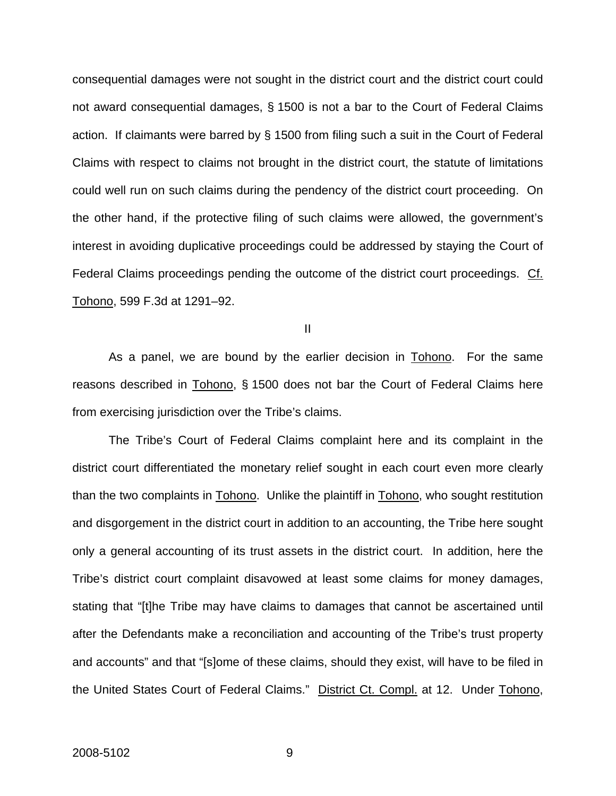consequential damages were not sought in the district court and the district court could not award consequential damages, § 1500 is not a bar to the Court of Federal Claims action. If claimants were barred by § 1500 from filing such a suit in the Court of Federal Claims with respect to claims not brought in the district court, the statute of limitations could well run on such claims during the pendency of the district court proceeding. On the other hand, if the protective filing of such claims were allowed, the government's interest in avoiding duplicative proceedings could be addressed by staying the Court of Federal Claims proceedings pending the outcome of the district court proceedings. Cf. Tohono, 599 F.3d at 1291–92.

II

As a panel, we are bound by the earlier decision in Tohono. For the same reasons described in Tohono, § 1500 does not bar the Court of Federal Claims here from exercising jurisdiction over the Tribe's claims.

The Tribe's Court of Federal Claims complaint here and its complaint in the district court differentiated the monetary relief sought in each court even more clearly than the two complaints in Tohono. Unlike the plaintiff in Tohono, who sought restitution and disgorgement in the district court in addition to an accounting, the Tribe here sought only a general accounting of its trust assets in the district court. In addition, here the Tribe's district court complaint disavowed at least some claims for money damages, stating that "[t]he Tribe may have claims to damages that cannot be ascertained until after the Defendants make a reconciliation and accounting of the Tribe's trust property and accounts" and that "[s]ome of these claims, should they exist, will have to be filed in the United States Court of Federal Claims." District Ct. Compl. at 12. Under Tohono,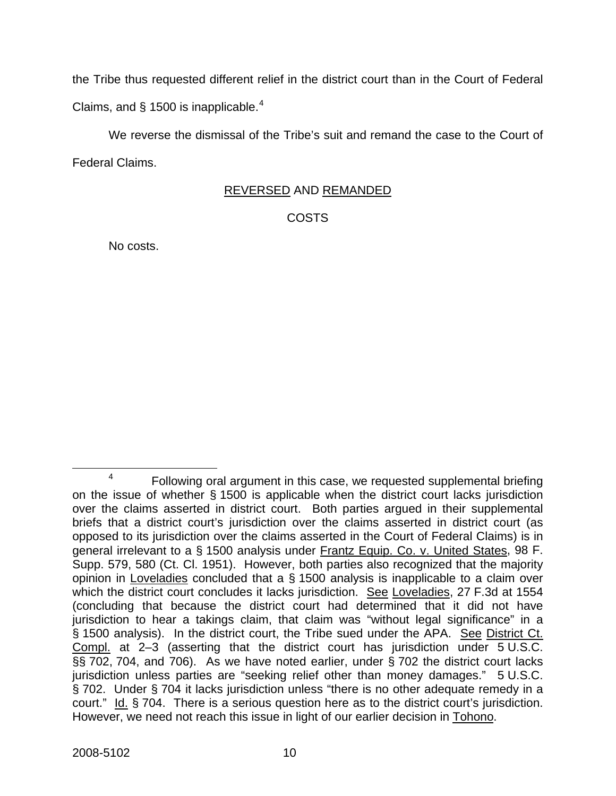the Tribe thus requested different relief in the district court than in the Court of Federal Claims, and  $\S$  1500 is inapplicable.<sup>[4](#page-10-0)</sup>

We reverse the dismissal of the Tribe's suit and remand the case to the Court of Federal Claims.

# REVERSED AND REMANDED

COSTS

No costs.

<span id="page-10-0"></span> $\overline{a}$  $4 \cdot$  Following oral argument in this case, we requested supplemental briefing on the issue of whether § 1500 is applicable when the district court lacks jurisdiction over the claims asserted in district court. Both parties argued in their supplemental briefs that a district court's jurisdiction over the claims asserted in district court (as opposed to its jurisdiction over the claims asserted in the Court of Federal Claims) is in general irrelevant to a § 1500 analysis under Frantz Equip. Co. v. United States, 98 F. Supp. 579, 580 (Ct. Cl. 1951). However, both parties also recognized that the majority opinion in Loveladies concluded that a § 1500 analysis is inapplicable to a claim over which the district court concludes it lacks jurisdiction. See Loveladies, 27 F.3d at 1554 (concluding that because the district court had determined that it did not have jurisdiction to hear a takings claim, that claim was "without legal significance" in a § 1500 analysis). In the district court, the Tribe sued under the APA. See District Ct. Compl. at 2–3 (asserting that the district court has jurisdiction under 5 U.S.C. §§ 702, 704, and 706). As we have noted earlier, under § 702 the district court lacks jurisdiction unless parties are "seeking relief other than money damages." 5 U.S.C. § 702. Under § 704 it lacks jurisdiction unless "there is no other adequate remedy in a court." Id. § 704. There is a serious question here as to the district court's jurisdiction. However, we need not reach this issue in light of our earlier decision in Tohono.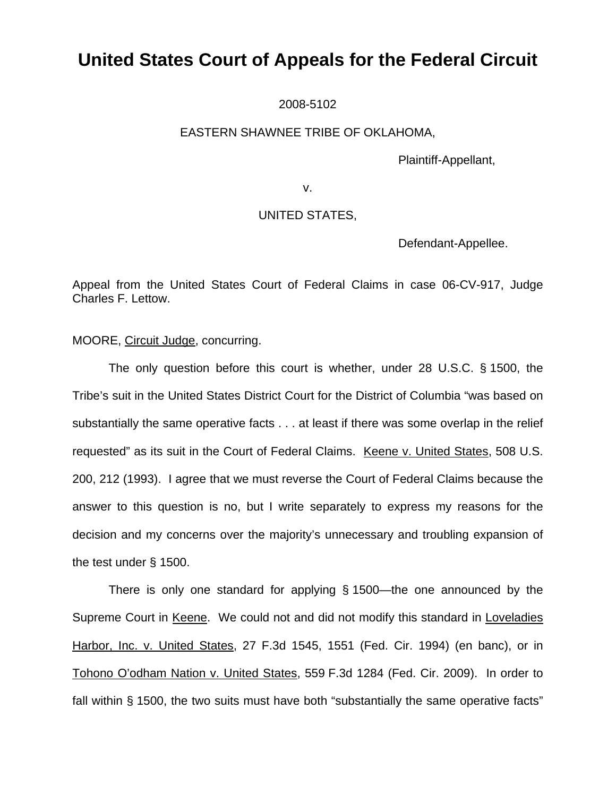# **United States Court of Appeals for the Federal Circuit**

2008-5102

## EASTERN SHAWNEE TRIBE OF OKLAHOMA,

Plaintiff-Appellant,

v.

## UNITED STATES,

Defendant-Appellee.

Appeal from the United States Court of Federal Claims in case 06-CV-917, Judge Charles F. Lettow.

MOORE, Circuit Judge, concurring.

The only question before this court is whether, under 28 U.S.C. § 1500, the Tribe's suit in the United States District Court for the District of Columbia "was based on substantially the same operative facts . . . at least if there was some overlap in the relief requested" as its suit in the Court of Federal Claims. Keene v. United States, 508 U.S. 200, 212 (1993). I agree that we must reverse the Court of Federal Claims because the answer to this question is no, but I write separately to express my reasons for the decision and my concerns over the majority's unnecessary and troubling expansion of the test under § 1500.

There is only one standard for applying § 1500—the one announced by the Supreme Court in Keene. We could not and did not modify this standard in Loveladies Harbor, Inc. v. United States, 27 F.3d 1545, 1551 (Fed. Cir. 1994) (en banc), or in Tohono O'odham Nation v. United States, 559 F.3d 1284 (Fed. Cir. 2009). In order to fall within § 1500, the two suits must have both "substantially the same operative facts"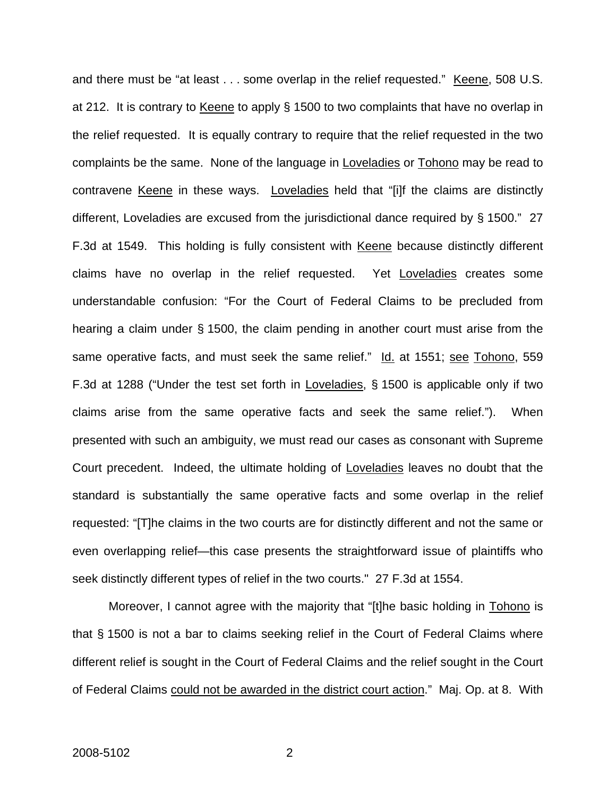and there must be "at least . . . some overlap in the relief requested." Keene, 508 U.S. at 212. It is contrary to Keene to apply § 1500 to two complaints that have no overlap in the relief requested. It is equally contrary to require that the relief requested in the two complaints be the same. None of the language in Loveladies or Tohono may be read to contravene Keene in these ways. Loveladies held that "[i]f the claims are distinctly different, Loveladies are excused from the jurisdictional dance required by § 1500." 27 F.3d at 1549. This holding is fully consistent with Keene because distinctly different claims have no overlap in the relief requested. Yet Loveladies creates some understandable confusion: "For the Court of Federal Claims to be precluded from hearing a claim under § 1500, the claim pending in another court must arise from the same operative facts, and must seek the same relief." Id. at 1551; see Tohono, 559 F.3d at 1288 ("Under the test set forth in Loveladies, § 1500 is applicable only if two claims arise from the same operative facts and seek the same relief."). When presented with such an ambiguity, we must read our cases as consonant with Supreme Court precedent. Indeed, the ultimate holding of Loveladies leaves no doubt that the standard is substantially the same operative facts and some overlap in the relief requested: "[T]he claims in the two courts are for distinctly different and not the same or even overlapping relief—this case presents the straightforward issue of plaintiffs who seek distinctly different types of relief in the two courts." 27 F.3d at 1554.

Moreover, I cannot agree with the majority that "[t]he basic holding in Tohono is that § 1500 is not a bar to claims seeking relief in the Court of Federal Claims where different relief is sought in the Court of Federal Claims and the relief sought in the Court of Federal Claims could not be awarded in the district court action." Maj. Op. at 8. With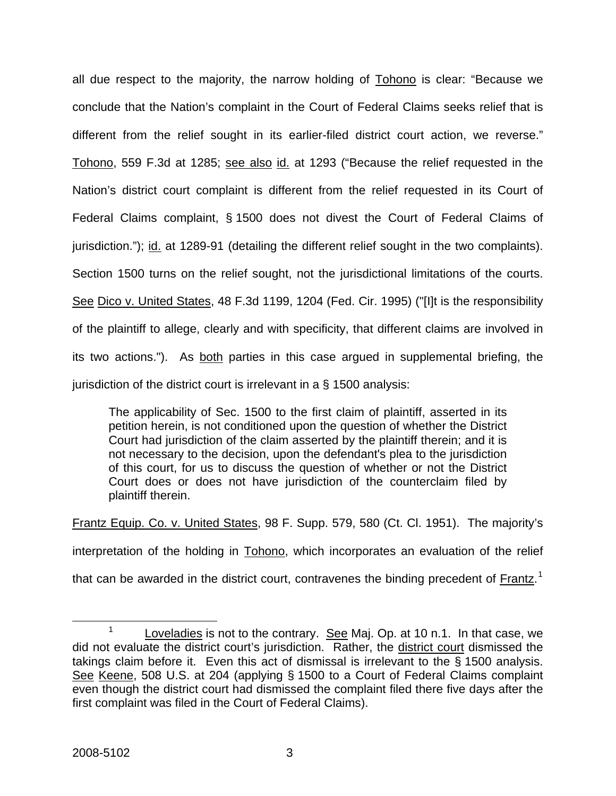all due respect to the majority, the narrow holding of Tohono is clear: "Because we conclude that the Nation's complaint in the Court of Federal Claims seeks relief that is different from the relief sought in its earlier-filed district court action, we reverse." Tohono, 559 F.3d at 1285; see also id. at 1293 ("Because the relief requested in the Nation's district court complaint is different from the relief requested in its Court of Federal Claims complaint, § 1500 does not divest the Court of Federal Claims of jurisdiction."); id. at 1289-91 (detailing the different relief sought in the two complaints). Section 1500 turns on the relief sought, not the jurisdictional limitations of the courts. See Dico v. United States, 48 F.3d 1199, 1204 (Fed. Cir. 1995) ("[I]t is the responsibility of the plaintiff to allege, clearly and with specificity, that different claims are involved in its two actions."). As both parties in this case argued in supplemental briefing, the jurisdiction of the district court is irrelevant in a § 1500 analysis:

The applicability of Sec. 1500 to the first claim of plaintiff, asserted in its petition herein, is not conditioned upon the question of whether the District Court had jurisdiction of the claim asserted by the plaintiff therein; and it is not necessary to the decision, upon the defendant's plea to the jurisdiction of this court, for us to discuss the question of whether or not the District Court does or does not have jurisdiction of the counterclaim filed by plaintiff therein.

Frantz Equip. Co. v. United States, 98 F. Supp. 579, 580 (Ct. Cl. 1951). The majority's interpretation of the holding in Tohono, which incorporates an evaluation of the relief that can be awarded in the district court, contravenes the binding precedent of  $Frantz<sup>1</sup>$  $Frantz<sup>1</sup>$  $Frantz<sup>1</sup>$ </u>

<span id="page-13-0"></span> $\frac{1}{1}$  $1$  Loveladies is not to the contrary. See Maj. Op. at 10 n.1. In that case, we did not evaluate the district court's jurisdiction. Rather, the district court dismissed the takings claim before it. Even this act of dismissal is irrelevant to the § 1500 analysis. See Keene, 508 U.S. at 204 (applying § 1500 to a Court of Federal Claims complaint even though the district court had dismissed the complaint filed there five days after the first complaint was filed in the Court of Federal Claims).